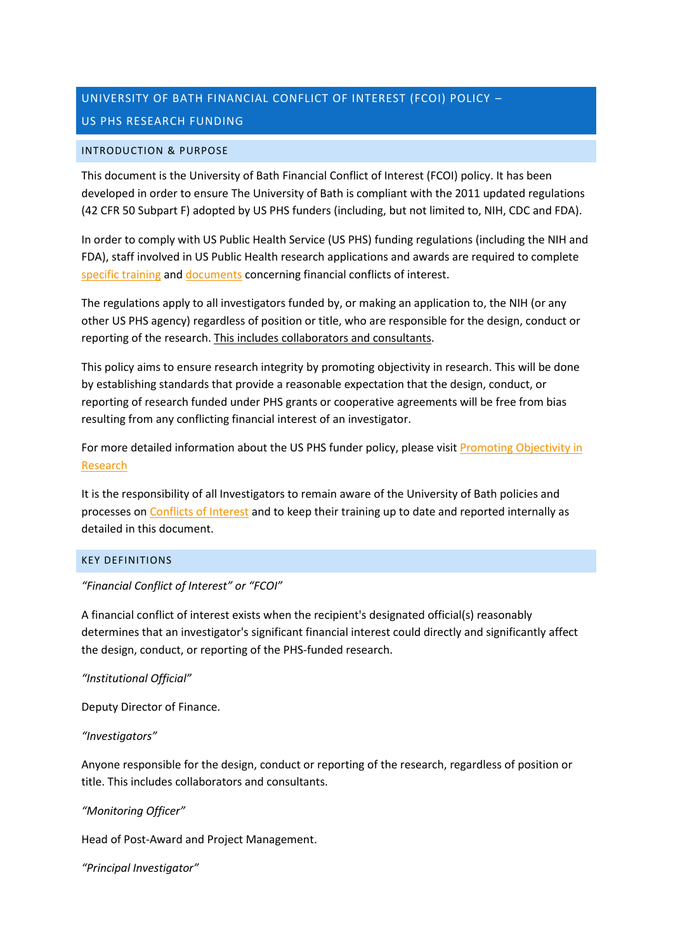# UNIVERSITY OF BATH FINANCIAL CONFLICT OF INTEREST (FCOI) POLICY – US PHS RESEARCH FUNDING

#### INTRODUCTION & PURPOSE

This document is the University of Bath Financial Conflict of Interest (FCOI) policy. It has been developed in order to ensure The University of Bath is compliant with the 2011 updated regulations (42 CFR 50 Subpart F) adopted by US PHS funders (including, but not limited to, NIH, CDC and FDA).

In order to comply with US Public Health Service (US PHS) funding regulations (including the NIH and FDA), staff involved in US Public Health research applications and awards are required to complete [specific training](https://grants.nih.gov/grants/policy/coi/tutorial2018/story_html5.html) and [documents](https://www.bath.ac.uk/publications/disclosure-form/attachments/disclosure-form.pdf) concerning financial conflicts of interest.

The regulations apply to all investigators funded by, or making an application to, the NIH (or any other US PHS agency) regardless of position or title, who are responsible for the design, conduct or reporting of the research. This includes collaborators and consultants.

This policy aims to ensure research integrity by promoting objectivity in research. This will be done by establishing standards that provide a reasonable expectation that the design, conduct, or reporting of research funded under PHS grants or cooperative agreements will be free from bias resulting from any conflicting financial interest of an investigator.

For more detailed information about the US PHS funder policy, please visit Promoting Objectivity in [Research](https://ecfr.io/Title-42/sp42.1.50.f#se42.1.50_1604)

It is the responsibility of all Investigators to remain aware of the University of Bath policies and processes o[n Conflicts of Interest](https://www.bath.ac.uk/corporate-information/other-regulations/) and to keep their training up to date and reported internally as detailed in this document.

## KEY DEFINITIONS

## *"Financial Conflict of Interest" or "FCOI"*

A financial conflict of interest exists when the recipient's designated official(s) reasonably determines that an investigator's significant financial interest could directly and significantly affect the design, conduct, or reporting of the PHS-funded research.

## *"Institutional Official"*

Deputy Director of Finance.

## *"Investigators"*

Anyone responsible for the design, conduct or reporting of the research, regardless of position or title. This includes collaborators and consultants.

## *"Monitoring Officer"*

Head of Post-Award and Project Management.

*"Principal Investigator"*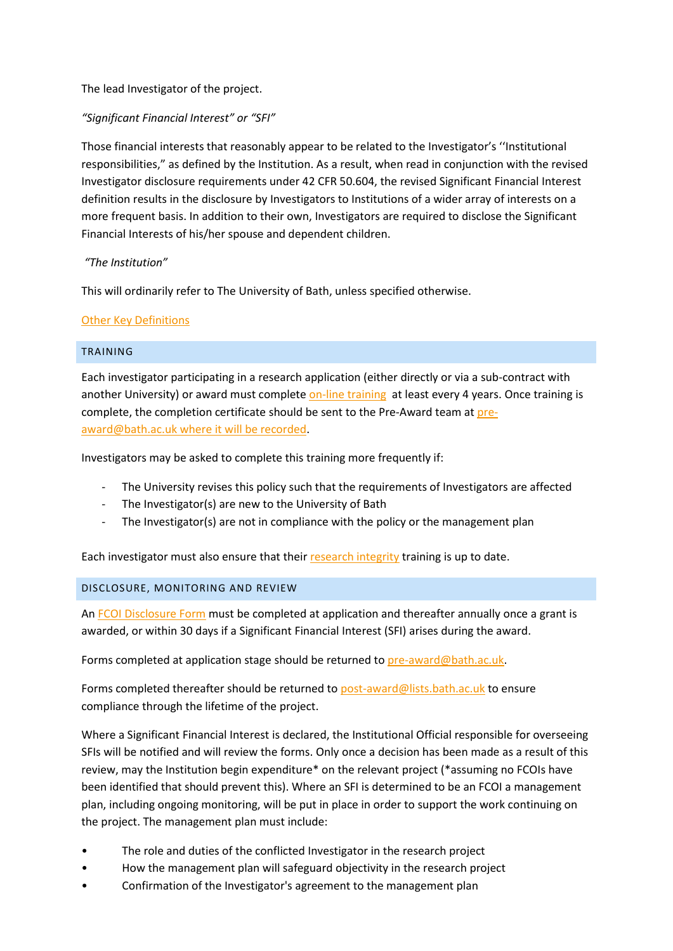# The lead Investigator of the project.

# *"Significant Financial Interest" or "SFI"*

Those financial interests that reasonably appear to be related to the Investigator's ''Institutional responsibilities," as defined by the Institution. As a result, when read in conjunction with the revised Investigator disclosure requirements under 42 CFR 50.604, the revised Significant Financial Interest definition results in the disclosure by Investigators to Institutions of a wider array of interests on a more frequent basis. In addition to their own, Investigators are required to disclose the Significant Financial Interests of his/her spouse and dependent children.

## *"The Institution"*

This will ordinarily refer to The University of Bath, unless specified otherwise.

# [Other Key Definitions](https://ecfr.io/Title-42/Section-50.603)

## TRAINING

Each investigator participating in a research application (either directly or via a sub-contract with another University) or award must complet[e on-line training](https://grants.nih.gov/grants/policy/coi/tutorial2018/story_html5.html) at least every 4 years. Once training is complete, the completion certificate should be sent to the Pre-Award team at [pre](mailto:pre-award@bath.ac.uk)[award@bath.ac.uk](mailto:pre-award@bath.ac.uk) where it will be recorded.

Investigators may be asked to complete this training more frequently if:

- The University revises this policy such that the requirements of Investigators are affected
- The Investigator(s) are new to the University of Bath
- The Investigator(s) are not in compliance with the policy or the management plan

Each investigator must also ensure that thei[r research integrity](https://moodle.bath.ac.uk/enrol/index.php?id=56564) training is up to date.

## DISCLOSURE, MONITORING AND REVIEW

An FCOI [Disclosure Form](https://www.bath.ac.uk/publications/disclosure-form/) must be completed at application and thereafter annually once a grant is awarded, or within 30 days if a Significant Financial Interest (SFI) arises during the award.

Forms completed at application stage should be returned to [pre-award@bath.ac.uk.](mailto:pre-award@bath.ac.uk)

Forms completed thereafter should be returned to [post-award@lists.bath.ac.uk](mailto:post-award@lists.bath.ac.uk) to ensure compliance through the lifetime of the project.

Where a Significant Financial Interest is declared, the Institutional Official responsible for overseeing SFIs will be notified and will review the forms. Only once a decision has been made as a result of this review, may the Institution begin expenditure\* on the relevant project (\*assuming no FCOIs have been identified that should prevent this). Where an SFI is determined to be an FCOI a management plan, including ongoing monitoring, will be put in place in order to support the work continuing on the project. The management plan must include:

- The role and duties of the conflicted Investigator in the research project
- How the management plan will safeguard objectivity in the research project
- Confirmation of the Investigator's agreement to the management plan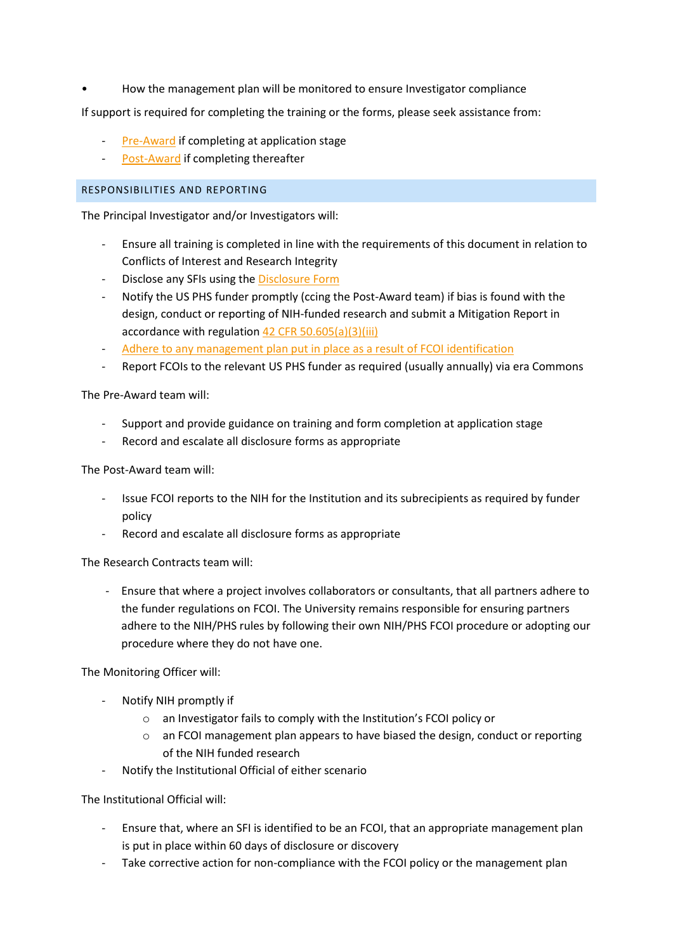• How the management plan will be monitored to ensure Investigator compliance

If support is required for completing the training or the forms, please seek assistance from:

- [Pre-Award](mailto:pre-award@bath.ac.uk?subject=Support%20for%20FCOI%20training/forms) if completing at application stage
- [Post-Award](mailto:post-award@lists.bath.ac.uk?subject=Support%20for%20FCOI%20training/forms) if completing thereafter

#### RESPONSIBILITIES AND REPORTING

The Principal Investigator and/or Investigators will:

- Ensure all training is completed in line with the requirements of this document in relation to Conflicts of Interest and Research Integrity
- Disclose any SFIs using th[e Disclosure Form](https://www.bath.ac.uk/publications/disclosure-form/)
- Notify the US PHS funder promptly (ccing the Post-Award team) if bias is found with the design, conduct or reporting of NIH-funded research and submit a Mitigation Report in accordance with regulation [42 CFR 50.605\(a\)\(3\)\(iii\)](https://ecfr.io/Title-42/Section-50.605)
- Adhere to any management plan put in place as a result of FCOI identification
- Report FCOIs to the relevant US PHS funder as required (usually annually) via era Commons

The Pre-Award team will:

- Support and provide guidance on training and form completion at application stage
- Record and escalate all disclosure forms as appropriate

The Post-Award team will:

- Issue FCOI reports to the NIH for the Institution and its subrecipients as required by funder policy
- Record and escalate all disclosure forms as appropriate

The Research Contracts team will:

- Ensure that where a project involves collaborators or consultants, that all partners adhere to the funder regulations on FCOI. The University remains responsible for ensuring partners adhere to the NIH/PHS rules by following their own NIH/PHS FCOI procedure or adopting our procedure where they do not have one.

The Monitoring Officer will:

- Notify NIH promptly if
	- o an Investigator fails to comply with the Institution's FCOI policy or
	- $\circ$  an FCOI management plan appears to have biased the design, conduct or reporting of the NIH funded research
- Notify the Institutional Official of either scenario

The Institutional Official will:

- Ensure that, where an SFI is identified to be an FCOI, that an appropriate management plan is put in place within 60 days of disclosure or discovery
- Take corrective action for non-compliance with the FCOI policy or the management plan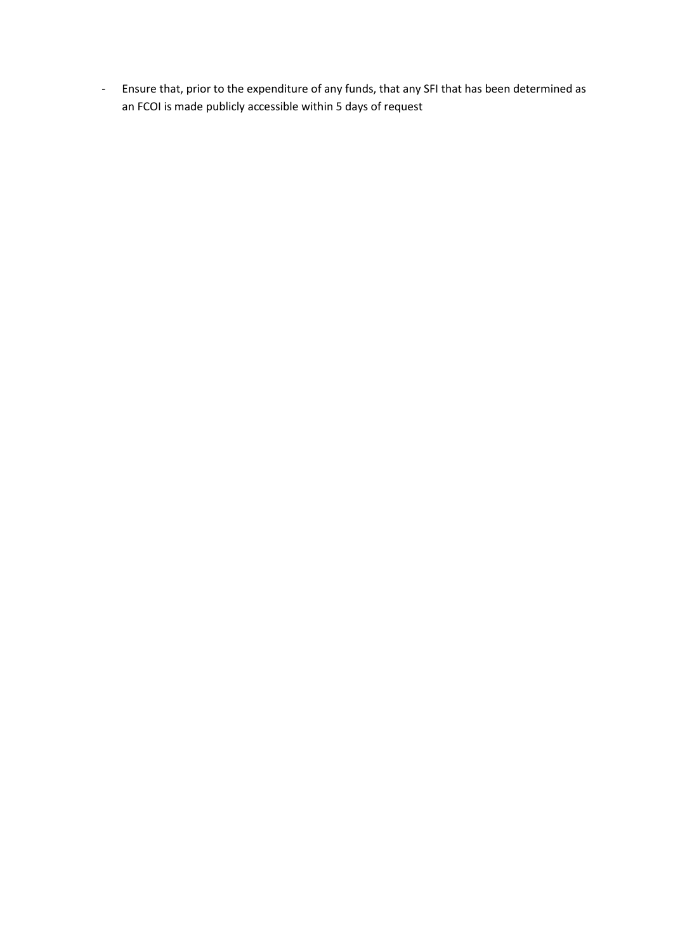- Ensure that, prior to the expenditure of any funds, that any SFI that has been determined as an FCOI is made publicly accessible within 5 days of request